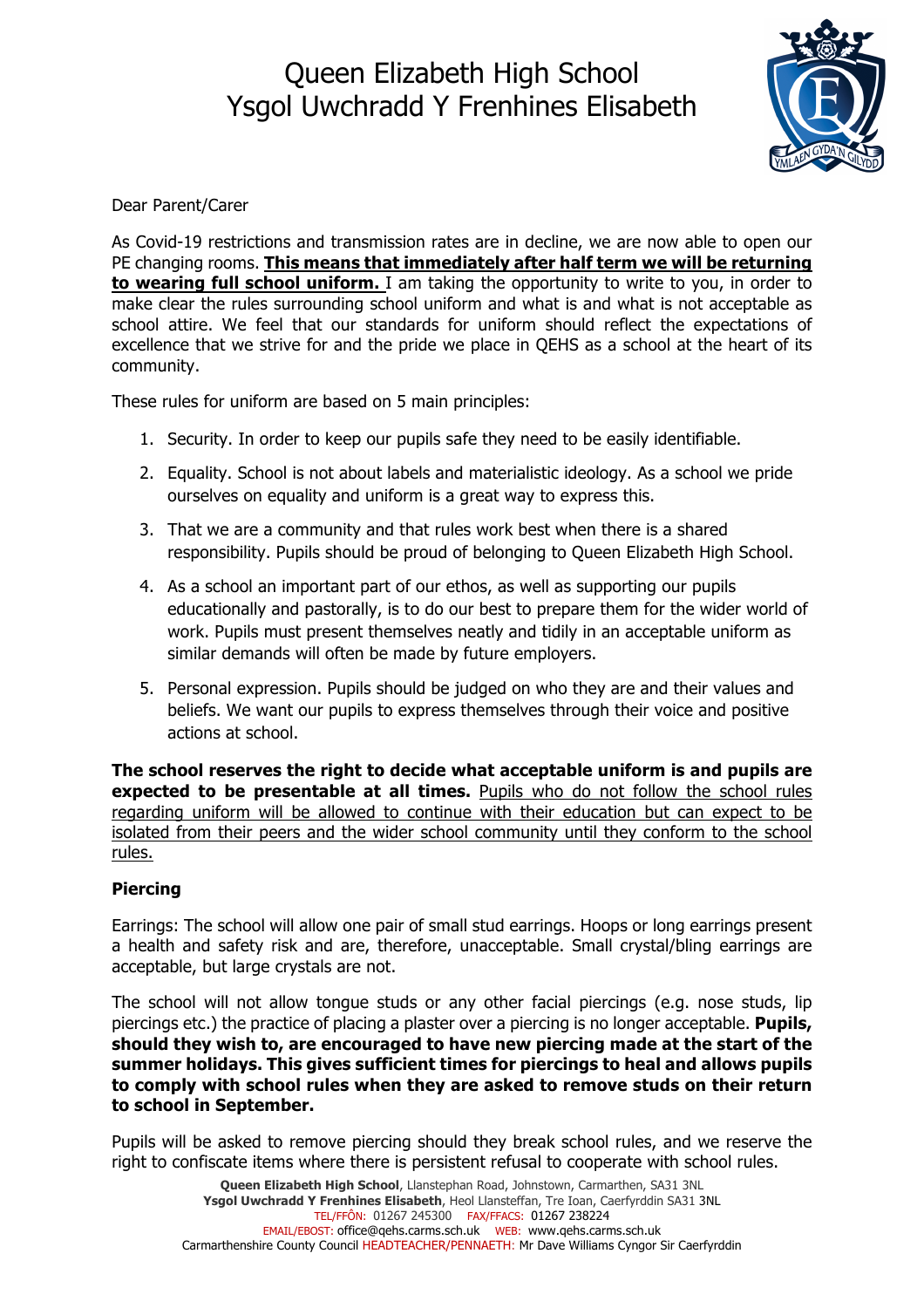# Queen Elizabeth High School Ysgol Uwchradd Y Frenhines Elisabeth



Dear Parent/Carer

As Covid-19 restrictions and transmission rates are in decline, we are now able to open our PE changing rooms. **This means that immediately after half term we will be returning to wearing full school uniform.** I am taking the opportunity to write to you, in order to make clear the rules surrounding school uniform and what is and what is not acceptable as school attire. We feel that our standards for uniform should reflect the expectations of excellence that we strive for and the pride we place in QEHS as a school at the heart of its community.

These rules for uniform are based on 5 main principles:

- 1. Security. In order to keep our pupils safe they need to be easily identifiable.
- 2. Equality. School is not about labels and materialistic ideology. As a school we pride ourselves on equality and uniform is a great way to express this.
- 3. That we are a community and that rules work best when there is a shared responsibility. Pupils should be proud of belonging to Queen Elizabeth High School.
- 4. As a school an important part of our ethos, as well as supporting our pupils educationally and pastorally, is to do our best to prepare them for the wider world of work. Pupils must present themselves neatly and tidily in an acceptable uniform as similar demands will often be made by future employers.
- 5. Personal expression. Pupils should be judged on who they are and their values and beliefs. We want our pupils to express themselves through their voice and positive actions at school.

**The school reserves the right to decide what acceptable uniform is and pupils are expected to be presentable at all times.** Pupils who do not follow the school rules regarding uniform will be allowed to continue with their education but can expect to be isolated from their peers and the wider school community until they conform to the school rules.

### **Piercing**

Earrings: The school will allow one pair of small stud earrings. Hoops or long earrings present a health and safety risk and are, therefore, unacceptable. Small crystal/bling earrings are acceptable, but large crystals are not.

The school will not allow tongue studs or any other facial piercings (e.g. nose studs, lip piercings etc.) the practice of placing a plaster over a piercing is no longer acceptable. **Pupils, should they wish to, are encouraged to have new piercing made at the start of the summer holidays. This gives sufficient times for piercings to heal and allows pupils to comply with school rules when they are asked to remove studs on their return to school in September.**

Pupils will be asked to remove piercing should they break school rules, and we reserve the right to confiscate items where there is persistent refusal to cooperate with school rules.